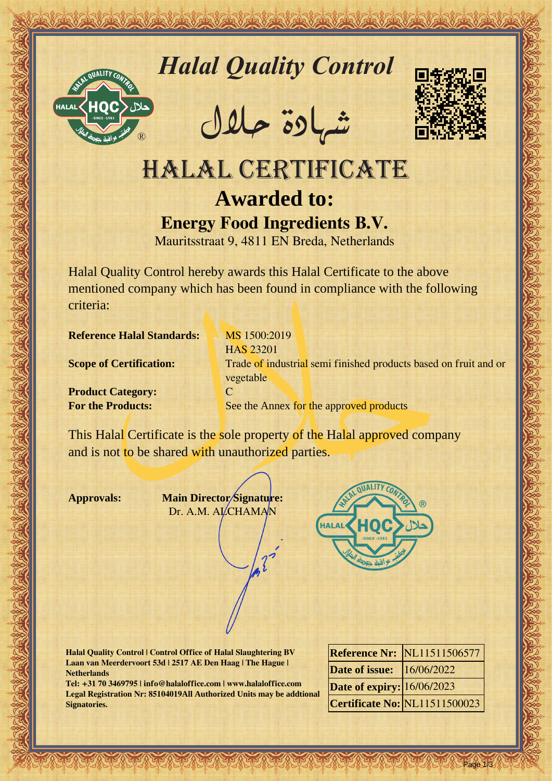

*Halal Quality Control*

REACTOR AND THE REAL PROPERTY OF THE REAL PROPERTY

�شهادة حالل



# Hallal Quality Control Designe<br>
HALAL CERTIFICATE<br>
HALAL CERTIFICATE<br>
A CONTROL CONTROL CONTROL CONTROL CONTROL CONTROL CONTROL CONTROL CONTROL CONTROL CONTROL CONTROL CONTROL CONTROL CONTROL CONTROL CONTROL CONTROL CONTRO HALAL CERTIFICATE **Awarded to: Energy Food Ingredients B.V.**

Mauritsstraat 9, 4811 EN Breda, Netherlands

Halal Quality Control hereby awards this Halal Certificate to the above mentioned company which has been found in compliance with the following criteria:

**Reference Halal Standards:** MS 1500:2019

**Product Category:** C

HAS 23201 **Scope of Certification:** Trade of industrial semi finished products based on fruit and or vegetable **For the Products:** See the Annex for the approved products

This Halal Certificate is the sole property of the Halal approved company and is not to be shared with unauthorized parties.

**Approvals: Main Director Signature:** Dr. A.M. ALCHAMAN



**Halal Quality Control | Control Office of Halal Slaughtering BV Laan van Meerdervoort 53d | 2517 AE Den Haag | The Hague | Netherlands**

**Tel: +31 70 3469795 | info@halaloffice.com | www.halaloffice.com Legal Registration Nr: 85104019All Authorized Units may be addtional Signatories.**

|                                  | <b>Reference Nr: NL11511506577</b>   |
|----------------------------------|--------------------------------------|
| <b>Date of issue:</b> 16/06/2022 |                                      |
| Date of expiry: 16/06/2023       |                                      |
|                                  | <b>Certificate No: NL11511500023</b> |

Page 1/3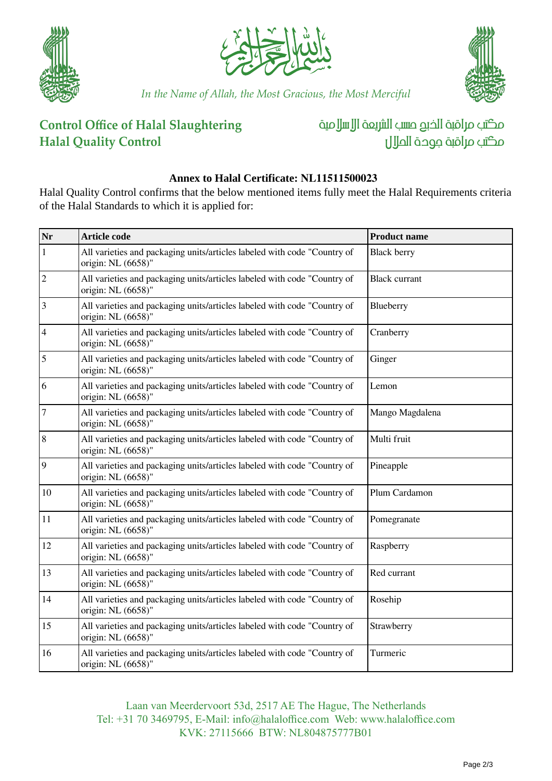





*In the Name of Allah, the Most Gracious, the Most Merciful*

## **Control Office of Halal Slaughtering Halal Quality Control**

مكتب مراقبة الذبم صسب الشريعة الإسلامية مكتب مراقبة جودة الملال

### **Annex to Halal Certificate: NL11511500023**

Halal Quality Control confirms that the below mentioned items fully meet the Halal Requirements criteria of the Halal Standards to which it is applied for:

| Nr             | <b>Article code</b>                                                                            | <b>Product name</b>  |
|----------------|------------------------------------------------------------------------------------------------|----------------------|
| $\mathbf{1}$   | All varieties and packaging units/articles labeled with code "Country of<br>origin: NL (6658)" | <b>Black berry</b>   |
| $\vert$ 2      | All varieties and packaging units/articles labeled with code "Country of<br>origin: NL (6658)" | <b>Black currant</b> |
| $\vert$ 3      | All varieties and packaging units/articles labeled with code "Country of<br>origin: NL (6658)" | Blueberry            |
| $\vert 4$      | All varieties and packaging units/articles labeled with code "Country of<br>origin: NL (6658)" | Cranberry            |
| $\overline{5}$ | All varieties and packaging units/articles labeled with code "Country of<br>origin: NL (6658)" | Ginger               |
| 6              | All varieties and packaging units/articles labeled with code "Country of<br>origin: NL (6658)" | Lemon                |
| 7              | All varieties and packaging units/articles labeled with code "Country of<br>origin: NL (6658)" | Mango Magdalena      |
| $\overline{8}$ | All varieties and packaging units/articles labeled with code "Country of<br>origin: NL (6658)" | Multi fruit          |
| $\overline{9}$ | All varieties and packaging units/articles labeled with code "Country of<br>origin: NL (6658)" | Pineapple            |
| 10             | All varieties and packaging units/articles labeled with code "Country of<br>origin: NL (6658)" | Plum Cardamon        |
| 11             | All varieties and packaging units/articles labeled with code "Country of<br>origin: NL (6658)" | Pomegranate          |
| 12             | All varieties and packaging units/articles labeled with code "Country of<br>origin: NL (6658)" | Raspberry            |
| 13             | All varieties and packaging units/articles labeled with code "Country of<br>origin: NL (6658)" | Red currant          |
| 14             | All varieties and packaging units/articles labeled with code "Country of<br>origin: NL (6658)" | Rosehip              |
| 15             | All varieties and packaging units/articles labeled with code "Country of<br>origin: NL (6658)" | Strawberry           |
| 16             | All varieties and packaging units/articles labeled with code "Country of<br>origin: NL (6658)" | Turmeric             |

Laan van Meerdervoort 53d, 2517 AE The Hague, The Netherlands Tel: +31 70 3469795, E-Mail: info@halaloffice.com Web: www.halaloffice.com KVK: 27115666 BTW: NL804875777B01